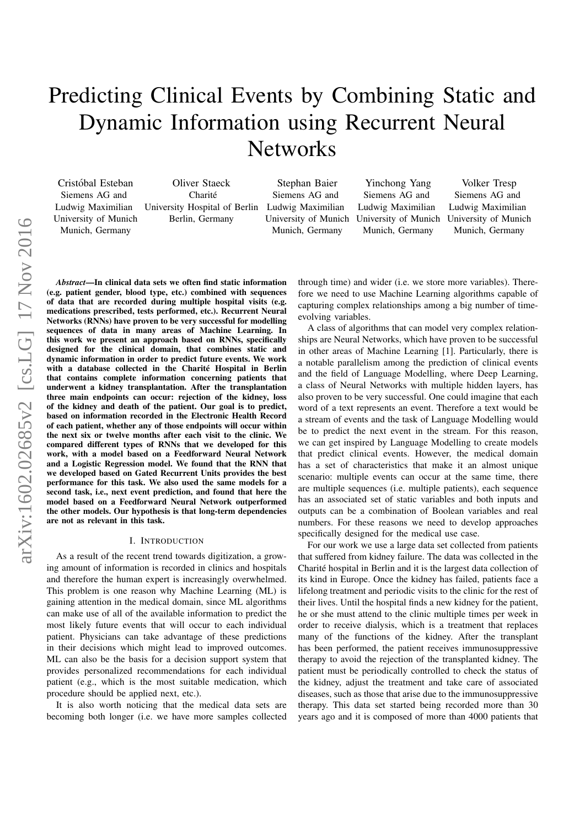# Predicting Clinical Events by Combining Static and Dynamic Information using Recurrent Neural **Networks**

Cristóbal Esteban Siemens AG and Ludwig Maximilian University of Munich Munich, Germany

Oliver Staeck Charité University Hospital of Berlin Berlin, Germany

Stephan Baier Siemens AG and Ludwig Maximilian University of Munich Munich, Germany

Yinchong Yang Siemens AG and Ludwig Maximilian University of Munich Munich, Germany

Volker Tresp Siemens AG and Ludwig Maximilian University of Munich Munich, Germany

arXiv:1602.02685v2 [cs.LG] 17 Nov 2016 arXiv:1602.02685v2 [cs.LG] 17 Nov 2016

*Abstract*—In clinical data sets we often find static information (e.g. patient gender, blood type, etc.) combined with sequences of data that are recorded during multiple hospital visits (e.g. medications prescribed, tests performed, etc.). Recurrent Neural Networks (RNNs) have proven to be very successful for modelling sequences of data in many areas of Machine Learning. In this work we present an approach based on RNNs, specifically designed for the clinical domain, that combines static and dynamic information in order to predict future events. We work with a database collected in the Charité Hospital in Berlin that contains complete information concerning patients that underwent a kidney transplantation. After the transplantation three main endpoints can occur: rejection of the kidney, loss of the kidney and death of the patient. Our goal is to predict, based on information recorded in the Electronic Health Record of each patient, whether any of those endpoints will occur within the next six or twelve months after each visit to the clinic. We compared different types of RNNs that we developed for this work, with a model based on a Feedforward Neural Network and a Logistic Regression model. We found that the RNN that we developed based on Gated Recurrent Units provides the best performance for this task. We also used the same models for a second task, i.e., next event prediction, and found that here the model based on a Feedforward Neural Network outperformed the other models. Our hypothesis is that long-term dependencies are not as relevant in this task.

#### I. INTRODUCTION

As a result of the recent trend towards digitization, a growing amount of information is recorded in clinics and hospitals and therefore the human expert is increasingly overwhelmed. This problem is one reason why Machine Learning (ML) is gaining attention in the medical domain, since ML algorithms can make use of all of the available information to predict the most likely future events that will occur to each individual patient. Physicians can take advantage of these predictions in their decisions which might lead to improved outcomes. ML can also be the basis for a decision support system that provides personalized recommendations for each individual patient (e.g., which is the most suitable medication, which procedure should be applied next, etc.).

It is also worth noticing that the medical data sets are becoming both longer (i.e. we have more samples collected through time) and wider (i.e. we store more variables). Therefore we need to use Machine Learning algorithms capable of capturing complex relationships among a big number of timeevolving variables.

A class of algorithms that can model very complex relationships are Neural Networks, which have proven to be successful in other areas of Machine Learning [1]. Particularly, there is a notable parallelism among the prediction of clinical events and the field of Language Modelling, where Deep Learning, a class of Neural Networks with multiple hidden layers, has also proven to be very successful. One could imagine that each word of a text represents an event. Therefore a text would be a stream of events and the task of Language Modelling would be to predict the next event in the stream. For this reason, we can get inspired by Language Modelling to create models that predict clinical events. However, the medical domain has a set of characteristics that make it an almost unique scenario: multiple events can occur at the same time, there are multiple sequences (i.e. multiple patients), each sequence has an associated set of static variables and both inputs and outputs can be a combination of Boolean variables and real numbers. For these reasons we need to develop approaches specifically designed for the medical use case.

For our work we use a large data set collected from patients that suffered from kidney failure. The data was collected in the Charite hospital in Berlin and it is the largest data collection of ´ its kind in Europe. Once the kidney has failed, patients face a lifelong treatment and periodic visits to the clinic for the rest of their lives. Until the hospital finds a new kidney for the patient, he or she must attend to the clinic multiple times per week in order to receive dialysis, which is a treatment that replaces many of the functions of the kidney. After the transplant has been performed, the patient receives immunosuppressive therapy to avoid the rejection of the transplanted kidney. The patient must be periodically controlled to check the status of the kidney, adjust the treatment and take care of associated diseases, such as those that arise due to the immunosuppressive therapy. This data set started being recorded more than 30 years ago and it is composed of more than 4000 patients that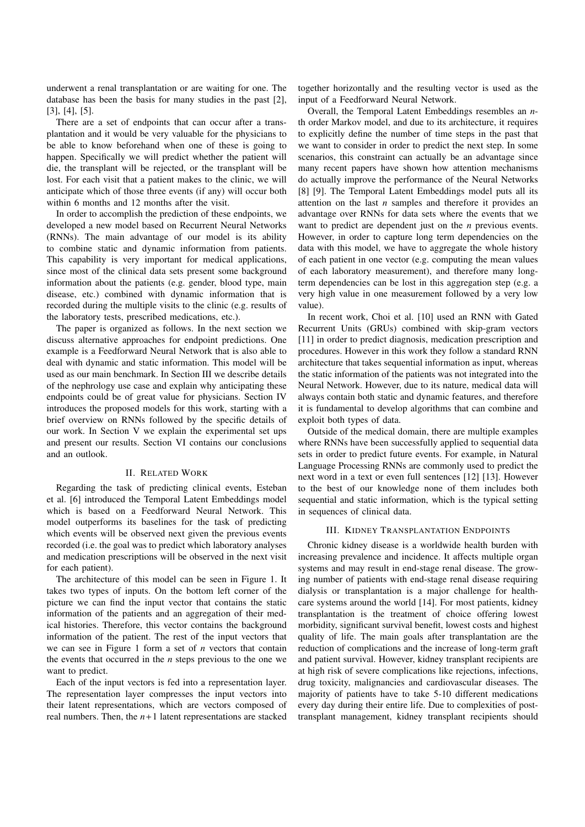underwent a renal transplantation or are waiting for one. The database has been the basis for many studies in the past [2], [3], [4], [5].

There are a set of endpoints that can occur after a transplantation and it would be very valuable for the physicians to be able to know beforehand when one of these is going to happen. Specifically we will predict whether the patient will die, the transplant will be rejected, or the transplant will be lost. For each visit that a patient makes to the clinic, we will anticipate which of those three events (if any) will occur both within 6 months and 12 months after the visit.

In order to accomplish the prediction of these endpoints, we developed a new model based on Recurrent Neural Networks (RNNs). The main advantage of our model is its ability to combine static and dynamic information from patients. This capability is very important for medical applications, since most of the clinical data sets present some background information about the patients (e.g. gender, blood type, main disease, etc.) combined with dynamic information that is recorded during the multiple visits to the clinic (e.g. results of the laboratory tests, prescribed medications, etc.).

The paper is organized as follows. In the next section we discuss alternative approaches for endpoint predictions. One example is a Feedforward Neural Network that is also able to deal with dynamic and static information. This model will be used as our main benchmark. In Section III we describe details of the nephrology use case and explain why anticipating these endpoints could be of great value for physicians. Section IV introduces the proposed models for this work, starting with a brief overview on RNNs followed by the specific details of our work. In Section V we explain the experimental set ups and present our results. Section VI contains our conclusions and an outlook.

## II. RELATED WORK

Regarding the task of predicting clinical events, Esteban et al. [6] introduced the Temporal Latent Embeddings model which is based on a Feedforward Neural Network. This model outperforms its baselines for the task of predicting which events will be observed next given the previous events recorded (i.e. the goal was to predict which laboratory analyses and medication prescriptions will be observed in the next visit for each patient).

The architecture of this model can be seen in Figure 1. It takes two types of inputs. On the bottom left corner of the picture we can find the input vector that contains the static information of the patients and an aggregation of their medical histories. Therefore, this vector contains the background information of the patient. The rest of the input vectors that we can see in Figure 1 form a set of *n* vectors that contain the events that occurred in the *n* steps previous to the one we want to predict.

Each of the input vectors is fed into a representation layer. The representation layer compresses the input vectors into their latent representations, which are vectors composed of real numbers. Then, the  $n+1$  latent representations are stacked together horizontally and the resulting vector is used as the input of a Feedforward Neural Network.

Overall, the Temporal Latent Embeddings resembles an *n*th order Markov model, and due to its architecture, it requires to explicitly define the number of time steps in the past that we want to consider in order to predict the next step. In some scenarios, this constraint can actually be an advantage since many recent papers have shown how attention mechanisms do actually improve the performance of the Neural Networks [8] [9]. The Temporal Latent Embeddings model puts all its attention on the last *n* samples and therefore it provides an advantage over RNNs for data sets where the events that we want to predict are dependent just on the *n* previous events. However, in order to capture long term dependencies on the data with this model, we have to aggregate the whole history of each patient in one vector (e.g. computing the mean values of each laboratory measurement), and therefore many longterm dependencies can be lost in this aggregation step (e.g. a very high value in one measurement followed by a very low value).

In recent work, Choi et al. [10] used an RNN with Gated Recurrent Units (GRUs) combined with skip-gram vectors [11] in order to predict diagnosis, medication prescription and procedures. However in this work they follow a standard RNN architecture that takes sequential information as input, whereas the static information of the patients was not integrated into the Neural Network. However, due to its nature, medical data will always contain both static and dynamic features, and therefore it is fundamental to develop algorithms that can combine and exploit both types of data.

Outside of the medical domain, there are multiple examples where RNNs have been successfully applied to sequential data sets in order to predict future events. For example, in Natural Language Processing RNNs are commonly used to predict the next word in a text or even full sentences [12] [13]. However to the best of our knowledge none of them includes both sequential and static information, which is the typical setting in sequences of clinical data.

#### III. KIDNEY TRANSPLANTATION ENDPOINTS

Chronic kidney disease is a worldwide health burden with increasing prevalence and incidence. It affects multiple organ systems and may result in end-stage renal disease. The growing number of patients with end-stage renal disease requiring dialysis or transplantation is a major challenge for healthcare systems around the world [14]. For most patients, kidney transplantation is the treatment of choice offering lowest morbidity, significant survival benefit, lowest costs and highest quality of life. The main goals after transplantation are the reduction of complications and the increase of long-term graft and patient survival. However, kidney transplant recipients are at high risk of severe complications like rejections, infections, drug toxicity, malignancies and cardiovascular diseases. The majority of patients have to take 5-10 different medications every day during their entire life. Due to complexities of posttransplant management, kidney transplant recipients should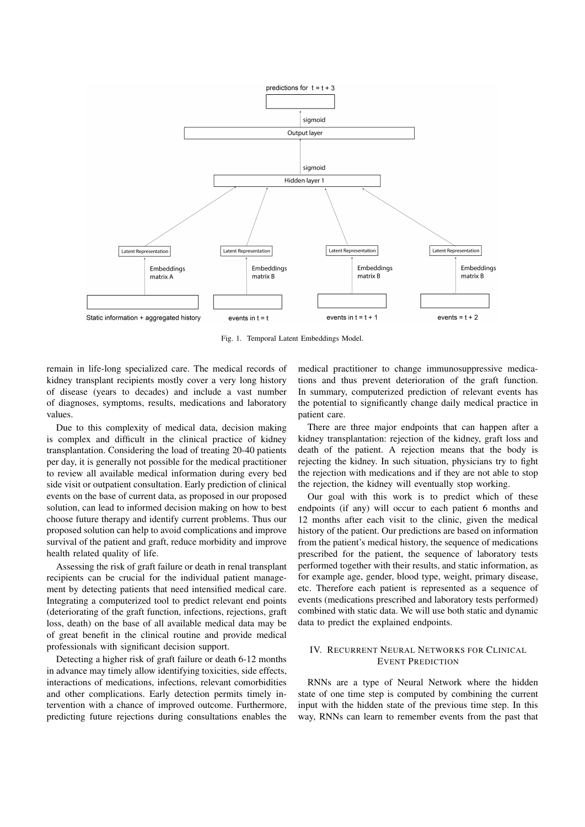

Fig. 1. Temporal Latent Embeddings Model.

remain in life-long specialized care. The medical records of kidney transplant recipients mostly cover a very long history of disease (years to decades) and include a vast number of diagnoses, symptoms, results, medications and laboratory values.

Due to this complexity of medical data, decision making is complex and difficult in the clinical practice of kidney transplantation. Considering the load of treating 20-40 patients per day, it is generally not possible for the medical practitioner to review all available medical information during every bed side visit or outpatient consultation. Early prediction of clinical events on the base of current data, as proposed in our proposed solution, can lead to informed decision making on how to best choose future therapy and identify current problems. Thus our proposed solution can help to avoid complications and improve survival of the patient and graft, reduce morbidity and improve health related quality of life.

Assessing the risk of graft failure or death in renal transplant recipients can be crucial for the individual patient management by detecting patients that need intensified medical care. Integrating a computerized tool to predict relevant end points (deteriorating of the graft function, infections, rejections, graft loss, death) on the base of all available medical data may be of great benefit in the clinical routine and provide medical professionals with significant decision support.

Detecting a higher risk of graft failure or death 6-12 months in advance may timely allow identifying toxicities, side effects, interactions of medications, infections, relevant comorbidities and other complications. Early detection permits timely intervention with a chance of improved outcome. Furthermore, predicting future rejections during consultations enables the

medical practitioner to change immunosuppressive medications and thus prevent deterioration of the graft function. In summary, computerized prediction of relevant events has the potential to significantly change daily medical practice in patient care.

There are three major endpoints that can happen after a kidney transplantation: rejection of the kidney, graft loss and death of the patient. A rejection means that the body is rejecting the kidney. In such situation, physicians try to fight the rejection with medications and if they are not able to stop the rejection, the kidney will eventually stop working.

Our goal with this work is to predict which of these endpoints (if any) will occur to each patient 6 months and 12 months after each visit to the clinic, given the medical history of the patient. Our predictions are based on information from the patient's medical history, the sequence of medications prescribed for the patient, the sequence of laboratory tests performed together with their results, and static information, as for example age, gender, blood type, weight, primary disease, etc. Therefore each patient is represented as a sequence of events (medications prescribed and laboratory tests performed) combined with static data. We will use both static and dynamic data to predict the explained endpoints.

# IV. RECURRENT NEURAL NETWORKS FOR CLINICAL EVENT PREDICTION

RNNs are a type of Neural Network where the hidden state of one time step is computed by combining the current input with the hidden state of the previous time step. In this way, RNNs can learn to remember events from the past that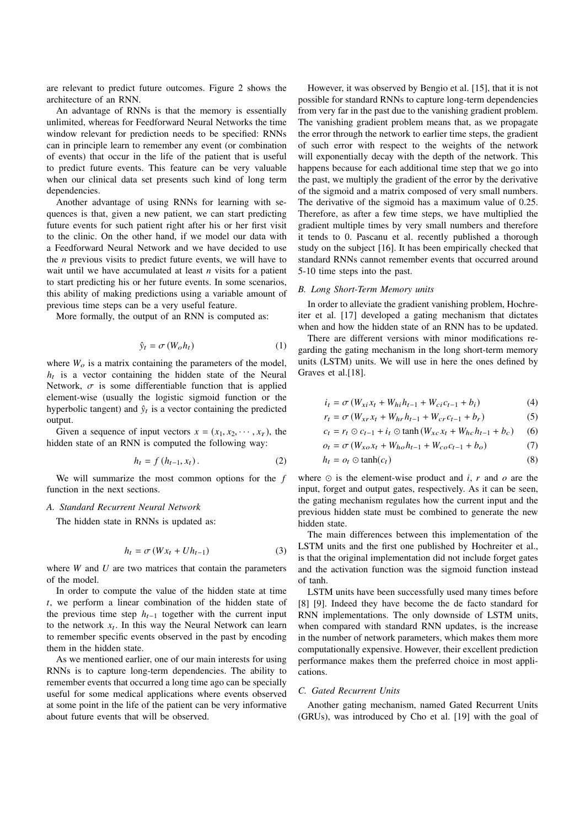are relevant to predict future outcomes. Figure 2 shows the architecture of an RNN.

An advantage of RNNs is that the memory is essentially unlimited, whereas for Feedforward Neural Networks the time window relevant for prediction needs to be specified: RNNs can in principle learn to remember any event (or combination of events) that occur in the life of the patient that is useful to predict future events. This feature can be very valuable when our clinical data set presents such kind of long term dependencies.

Another advantage of using RNNs for learning with sequences is that, given a new patient, we can start predicting future events for such patient right after his or her first visit to the clinic. On the other hand, if we model our data with a Feedforward Neural Network and we have decided to use the *n* previous visits to predict future events, we will have to wait until we have accumulated at least *n* visits for a patient to start predicting his or her future events. In some scenarios, this ability of making predictions using a variable amount of previous time steps can be a very useful feature.

More formally, the output of an RNN is computed as:

$$
\hat{y}_t = \sigma(W_0 h_t) \tag{1}
$$

where  $W<sub>o</sub>$  is a matrix containing the parameters of the model,  $h_t$  is a vector containing the hidden state of the Neural Network,  $\sigma$  is some differentiable function that is applied element-wise (usually the logistic sigmoid function or the hyperbolic tangent) and  $\hat{y}_t$  is a vector containing the predicted output.

Given a sequence of input vectors  $x = (x_1, x_2, \dots, x_T)$ , the hidden state of an RNN is computed the following way:

$$
h_t = f(h_{t-1}, x_t). \tag{2}
$$

We will summarize the most common options for the *f* function in the next sections.

## *A. Standard Recurrent Neural Network*

The hidden state in RNNs is updated as:

$$
h_t = \sigma(Wx_t + Uh_{t-1})
$$
\n(3)

where *W* and *U* are two matrices that contain the parameters of the model.

In order to compute the value of the hidden state at time *t*, we perform a linear combination of the hidden state of the previous time step  $h_{t-1}$  together with the current input to the network  $x_t$ . In this way the Neural Network can learn to remember specific events observed in the past by encoding them in the hidden state.

As we mentioned earlier, one of our main interests for using RNNs is to capture long-term dependencies. The ability to remember events that occurred a long time ago can be specially useful for some medical applications where events observed at some point in the life of the patient can be very informative about future events that will be observed.

However, it was observed by Bengio et al. [15], that it is not possible for standard RNNs to capture long-term dependencies from very far in the past due to the vanishing gradient problem. The vanishing gradient problem means that, as we propagate the error through the network to earlier time steps, the gradient of such error with respect to the weights of the network will exponentially decay with the depth of the network. This happens because for each additional time step that we go into the past, we multiply the gradient of the error by the derivative of the sigmoid and a matrix composed of very small numbers. The derivative of the sigmoid has a maximum value of 0.25. Therefore, as after a few time steps, we have multiplied the gradient multiple times by very small numbers and therefore it tends to 0. Pascanu et al. recently published a thorough study on the subject [16]. It has been empirically checked that standard RNNs cannot remember events that occurred around 5-10 time steps into the past.

## *B. Long Short-Term Memory units*

In order to alleviate the gradient vanishing problem, Hochreiter et al. [17] developed a gating mechanism that dictates when and how the hidden state of an RNN has to be updated.

There are different versions with minor modifications regarding the gating mechanism in the long short-term memory units (LSTM) units. We will use in here the ones defined by Graves et al.[18].

$$
i_t = \sigma (W_{xi} x_t + W_{hi} h_{t-1} + W_{ci} c_{t-1} + b_i)
$$
 (4)

$$
r_t = \sigma \left( W_{xr} x_t + W_{hr} h_{t-1} + W_{cr} c_{t-1} + b_r \right)
$$
 (5)

$$
c_t = r_t \odot c_{t-1} + i_t \odot \tanh(W_{xc} x_t + W_{hc} h_{t-1} + b_c)
$$
 (6)

$$
o_t = \sigma \left( W_{xo} x_t + W_{ho} h_{t-1} + W_{co} c_{t-1} + b_o \right) \tag{7}
$$

$$
h_t = o_t \odot \tanh(c_t) \tag{8}
$$

where  $\odot$  is the element-wise product and *i*, *r* and *o* are the input, forget and output gates, respectively. As it can be seen, the gating mechanism regulates how the current input and the previous hidden state must be combined to generate the new hidden state.

The main differences between this implementation of the LSTM units and the first one published by Hochreiter et al., is that the original implementation did not include forget gates and the activation function was the sigmoid function instead of tanh.

LSTM units have been successfully used many times before [8] [9]. Indeed they have become the de facto standard for RNN implementations. The only downside of LSTM units, when compared with standard RNN updates, is the increase in the number of network parameters, which makes them more computationally expensive. However, their excellent prediction performance makes them the preferred choice in most applications.

## *C. Gated Recurrent Units*

Another gating mechanism, named Gated Recurrent Units (GRUs), was introduced by Cho et al. [19] with the goal of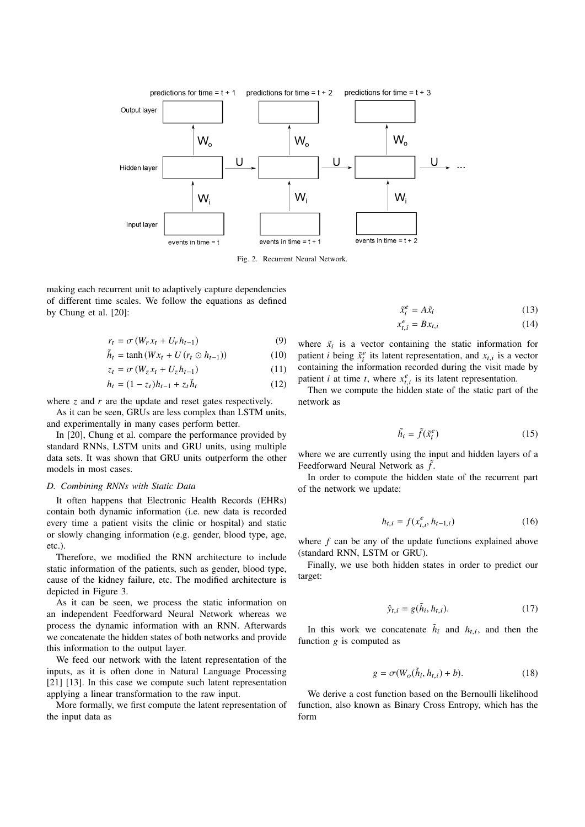

Fig. 2. Recurrent Neural Network.

making each recurrent unit to adaptively capture dependencies of different time scales. We follow the equations as defined by Chung et al. [20]:

$$
r_t = \sigma \left( W_r x_t + U_r h_{t-1} \right) \tag{9}
$$

$$
\tilde{h}_t = \tanh\left(Wx_t + U\left(r_t \odot h_{t-1}\right)\right) \tag{10}
$$

$$
z_t = \sigma \left( W_z x_t + U_z h_{t-1} \right) \tag{11}
$$

$$
h_t = (1 - z_t)h_{t-1} + z_t \tilde{h}_t \tag{12}
$$

where  $z$  and  $r$  are the update and reset gates respectively.

As it can be seen, GRUs are less complex than LSTM units, and experimentally in many cases perform better.

In [20], Chung et al. compare the performance provided by standard RNNs, LSTM units and GRU units, using multiple data sets. It was shown that GRU units outperform the other models in most cases.

#### *D. Combining RNNs with Static Data*

It often happens that Electronic Health Records (EHRs) contain both dynamic information (i.e. new data is recorded every time a patient visits the clinic or hospital) and static or slowly changing information (e.g. gender, blood type, age, etc.).

Therefore, we modified the RNN architecture to include static information of the patients, such as gender, blood type, cause of the kidney failure, etc. The modified architecture is depicted in Figure 3.

As it can be seen, we process the static information on an independent Feedforward Neural Network whereas we process the dynamic information with an RNN. Afterwards we concatenate the hidden states of both networks and provide this information to the output layer.

We feed our network with the latent representation of the inputs, as it is often done in Natural Language Processing [21] [13]. In this case we compute such latent representation applying a linear transformation to the raw input.

More formally, we first compute the latent representation of the input data as

$$
\tilde{x}_i^e = A\tilde{x}_i \tag{13}
$$

$$
x_{t,i}^e = Bx_{t,i} \tag{14}
$$

where  $\tilde{x}_i$  is a vector containing the static information for patient *i* being  $\tilde{x}_i^e$  its latent representation, and  $x_{t,i}$  is a vector containing the information recorded during the visit made by containing the information recorded during the visit made by patient *i* at time *t*, where  $x_{t,i}^e$  is its latent representation.

Then we compute the hidden state of the static part of the static part of the network as

$$
\tilde{h}_i = \tilde{f}(\tilde{x}_i^e) \tag{15}
$$

where we are currently using the input and hidden layers of a Feedforward Neural Network as  $\tilde{f}$ .

In order to compute the hidden state of the recurrent part of the network we update:

$$
h_{t,i} = f(x_{t,i}^e, h_{t-1,i})
$$
 (16)

where *f* can be any of the update functions explained above (standard RNN, LSTM or GRU).

Finally, we use both hidden states in order to predict our target:

$$
\hat{y}_{t,i} = g(\tilde{h}_i, h_{t,i}).
$$
\n(17)

In this work we concatenate  $\tilde{h}_i$  and  $h_{t,i}$ , and then the function g is computed as

$$
g = \sigma(W_o(\tilde{h}_i, h_{t,i}) + b). \tag{18}
$$

We derive a cost function based on the Bernoulli likelihood function, also known as Binary Cross Entropy, which has the form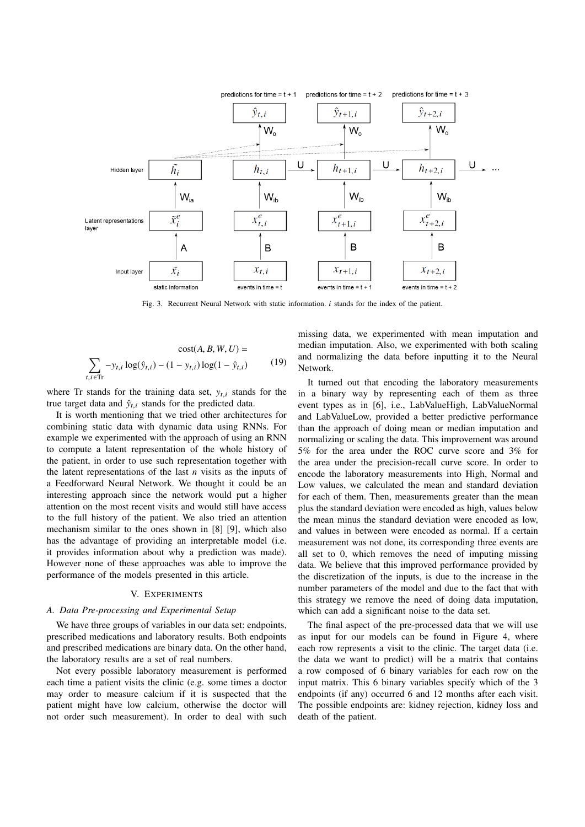

Fig. 3. Recurrent Neural Network with static information. i stands for the index of the patient.

cost
$$
(A, B, W, U) =
$$
  
\n
$$
\sum_{t, i \in \text{Tr}} -y_{t, i} \log(\hat{y}_{t, i}) - (1 - y_{t, i}) \log(1 - \hat{y}_{t, i}) \tag{19}
$$

where Tr stands for the training data set,  $y_{t,i}$  stands for the true target data and  $\hat{y}_{t,i}$  stands for the predicted data.

It is worth mentioning that we tried other architectures for combining static data with dynamic data using RNNs. For example we experimented with the approach of using an RNN to compute a latent representation of the whole history of the patient, in order to use such representation together with the latent representations of the last *n* visits as the inputs of a Feedforward Neural Network. We thought it could be an interesting approach since the network would put a higher attention on the most recent visits and would still have access to the full history of the patient. We also tried an attention mechanism similar to the ones shown in [8] [9], which also has the advantage of providing an interpretable model (i.e. it provides information about why a prediction was made). However none of these approaches was able to improve the performance of the models presented in this article.

#### V. EXPERIMENTS

## *A. Data Pre-processing and Experimental Setup*

We have three groups of variables in our data set: endpoints, prescribed medications and laboratory results. Both endpoints and prescribed medications are binary data. On the other hand, the laboratory results are a set of real numbers.

Not every possible laboratory measurement is performed each time a patient visits the clinic (e.g. some times a doctor may order to measure calcium if it is suspected that the patient might have low calcium, otherwise the doctor will not order such measurement). In order to deal with such missing data, we experimented with mean imputation and median imputation. Also, we experimented with both scaling and normalizing the data before inputting it to the Neural Network.

It turned out that encoding the laboratory measurements in a binary way by representing each of them as three event types as in [6], i.e., LabValueHigh, LabValueNormal and LabValueLow, provided a better predictive performance than the approach of doing mean or median imputation and normalizing or scaling the data. This improvement was around 5% for the area under the ROC curve score and 3% for the area under the precision-recall curve score. In order to encode the laboratory measurements into High, Normal and Low values, we calculated the mean and standard deviation for each of them. Then, measurements greater than the mean plus the standard deviation were encoded as high, values below the mean minus the standard deviation were encoded as low, and values in between were encoded as normal. If a certain measurement was not done, its corresponding three events are all set to 0, which removes the need of imputing missing data. We believe that this improved performance provided by the discretization of the inputs, is due to the increase in the number parameters of the model and due to the fact that with this strategy we remove the need of doing data imputation, which can add a significant noise to the data set.

The final aspect of the pre-processed data that we will use as input for our models can be found in Figure 4, where each row represents a visit to the clinic. The target data (i.e. the data we want to predict) will be a matrix that contains a row composed of 6 binary variables for each row on the input matrix. This 6 binary variables specify which of the 3 endpoints (if any) occurred 6 and 12 months after each visit. The possible endpoints are: kidney rejection, kidney loss and death of the patient.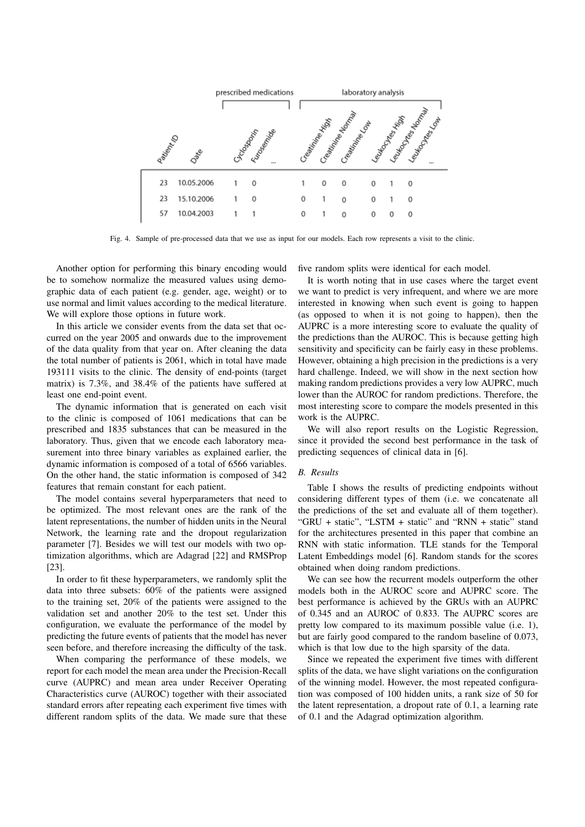

Fig. 4. Sample of pre-processed data that we use as input for our models. Each row represents a visit to the clinic.

Another option for performing this binary encoding would be to somehow normalize the measured values using demographic data of each patient (e.g. gender, age, weight) or to use normal and limit values according to the medical literature. We will explore those options in future work.

In this article we consider events from the data set that occurred on the year 2005 and onwards due to the improvement of the data quality from that year on. After cleaning the data the total number of patients is 2061, which in total have made 193111 visits to the clinic. The density of end-points (target matrix) is 7.3%, and 38.4% of the patients have suffered at least one end-point event.

The dynamic information that is generated on each visit to the clinic is composed of 1061 medications that can be prescribed and 1835 substances that can be measured in the laboratory. Thus, given that we encode each laboratory measurement into three binary variables as explained earlier, the dynamic information is composed of a total of 6566 variables. On the other hand, the static information is composed of 342 features that remain constant for each patient.

The model contains several hyperparameters that need to be optimized. The most relevant ones are the rank of the latent representations, the number of hidden units in the Neural Network, the learning rate and the dropout regularization parameter [7]. Besides we will test our models with two optimization algorithms, which are Adagrad [22] and RMSProp [23].

In order to fit these hyperparameters, we randomly split the data into three subsets: 60% of the patients were assigned to the training set, 20% of the patients were assigned to the validation set and another 20% to the test set. Under this configuration, we evaluate the performance of the model by predicting the future events of patients that the model has never seen before, and therefore increasing the difficulty of the task.

When comparing the performance of these models, we report for each model the mean area under the Precision-Recall curve (AUPRC) and mean area under Receiver Operating Characteristics curve (AUROC) together with their associated standard errors after repeating each experiment five times with different random splits of the data. We made sure that these

five random splits were identical for each model.

It is worth noting that in use cases where the target event we want to predict is very infrequent, and where we are more interested in knowing when such event is going to happen (as opposed to when it is not going to happen), then the AUPRC is a more interesting score to evaluate the quality of the predictions than the AUROC. This is because getting high sensitivity and specificity can be fairly easy in these problems. However, obtaining a high precision in the predictions is a very hard challenge. Indeed, we will show in the next section how making random predictions provides a very low AUPRC, much lower than the AUROC for random predictions. Therefore, the most interesting score to compare the models presented in this work is the AUPRC.

We will also report results on the Logistic Regression, since it provided the second best performance in the task of predicting sequences of clinical data in [6].

# *B. Results*

Table I shows the results of predicting endpoints without considering different types of them (i.e. we concatenate all the predictions of the set and evaluate all of them together). "GRU + static", "LSTM + static" and "RNN + static" stand for the architectures presented in this paper that combine an RNN with static information. TLE stands for the Temporal Latent Embeddings model [6]. Random stands for the scores obtained when doing random predictions.

We can see how the recurrent models outperform the other models both in the AUROC score and AUPRC score. The best performance is achieved by the GRUs with an AUPRC of 0.345 and an AUROC of 0.833. The AUPRC scores are pretty low compared to its maximum possible value (i.e. 1), but are fairly good compared to the random baseline of 0.073, which is that low due to the high sparsity of the data.

Since we repeated the experiment five times with different splits of the data, we have slight variations on the configuration of the winning model. However, the most repeated configuration was composed of 100 hidden units, a rank size of 50 for the latent representation, a dropout rate of 0.1, a learning rate of 0.1 and the Adagrad optimization algorithm.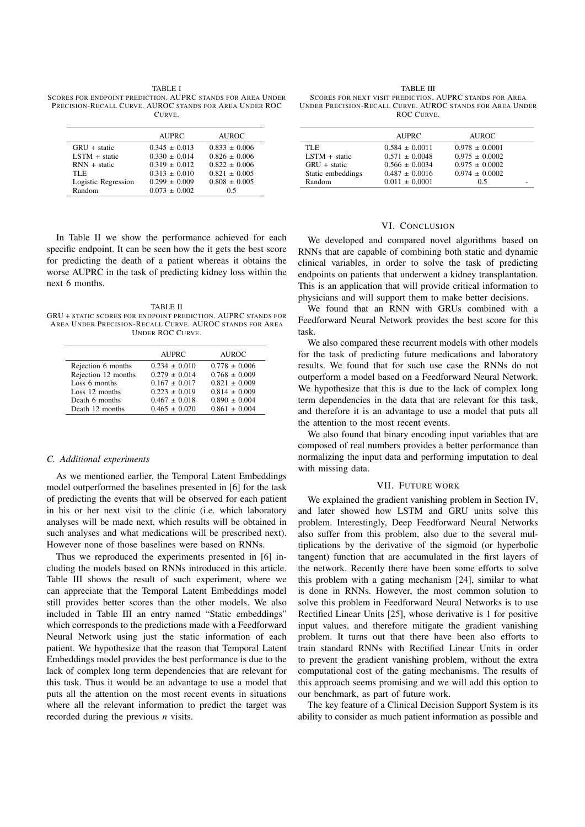TABLE I SCORES FOR ENDPOINT PREDICTION. AUPRC STANDS FOR AREA UNDER PRECISION-RECALL CURVE. AUROC STANDS FOR AREA UNDER ROC **CURVE** 

|                     | <b>AUPRC</b>      | <b>AUROC</b>      |
|---------------------|-------------------|-------------------|
| $GRU + static$      | $0.345 \pm 0.013$ | $0.833 + 0.006$   |
| $LSTM + static$     | $0.330 \pm 0.014$ | $0.826 \pm 0.006$ |
| $RNN + static$      | $0.319 \pm 0.012$ | $0.822 \pm 0.006$ |
| TLE.                | $0.313 \pm 0.010$ | $0.821 + 0.005$   |
| Logistic Regression | $0.299 \pm 0.009$ | $0.808 + 0.005$   |
| Random              | $0.073 \pm 0.002$ | 0.5               |

In Table II we show the performance achieved for each specific endpoint. It can be seen how the it gets the best score for predicting the death of a patient whereas it obtains the worse AUPRC in the task of predicting kidney loss within the next 6 months.

TABLE II GRU + STATIC SCORES FOR ENDPOINT PREDICTION. AUPRC STANDS FOR AREA UNDER PRECISION-RECALL CURVE. AUROC STANDS FOR AREA UNDER ROC CURVE.

|                     | <b>AUPRC</b>      | <b>AUROC</b>      |
|---------------------|-------------------|-------------------|
| Rejection 6 months  | $0.234 \pm 0.010$ | $0.778 \pm 0.006$ |
| Rejection 12 months | $0.279 \pm 0.014$ | $0.768 \pm 0.009$ |
| Loss 6 months       | $0.167 \pm 0.017$ | $0.821 \pm 0.009$ |
| Loss 12 months      | $0.223 \pm 0.019$ | $0.814 \pm 0.009$ |
| Death 6 months      | $0.467 \pm 0.018$ | $0.890 \pm 0.004$ |
| Death 12 months     | $0.465 \pm 0.020$ | $0.861 \pm 0.004$ |

#### *C. Additional experiments*

As we mentioned earlier, the Temporal Latent Embeddings model outperformed the baselines presented in [6] for the task of predicting the events that will be observed for each patient in his or her next visit to the clinic (i.e. which laboratory analyses will be made next, which results will be obtained in such analyses and what medications will be prescribed next). However none of those baselines were based on RNNs.

Thus we reproduced the experiments presented in [6] including the models based on RNNs introduced in this article. Table III shows the result of such experiment, where we can appreciate that the Temporal Latent Embeddings model still provides better scores than the other models. We also included in Table III an entry named "Static embeddings" which corresponds to the predictions made with a Feedforward Neural Network using just the static information of each patient. We hypothesize that the reason that Temporal Latent Embeddings model provides the best performance is due to the lack of complex long term dependencies that are relevant for this task. Thus it would be an advantage to use a model that puts all the attention on the most recent events in situations where all the relevant information to predict the target was recorded during the previous *n* visits.

TABLE III SCORES FOR NEXT VISIT PREDICTION. AUPRC STANDS FOR AREA UNDER PRECISION-RECALL CURVE. AUROC STANDS FOR AREA UNDER ROC CURVE.

|                   | AUPRC              | <b>AUROC</b>       |  |
|-------------------|--------------------|--------------------|--|
| TLE.              | $0.584 + 0.0011$   | $0.978 \pm 0.0001$ |  |
| $LSTM + static$   | $0.571 + 0.0048$   | $0.975 + 0.0002$   |  |
| $GRU + static$    | $0.566 \pm 0.0034$ | $0.975 + 0.0002$   |  |
| Static embeddings | $0.487 + 0.0016$   | $0.974 + 0.0002$   |  |
| Random            | $0.011 \pm 0.0001$ | 0.5                |  |

### VI. CONCLUSION

We developed and compared novel algorithms based on RNNs that are capable of combining both static and dynamic clinical variables, in order to solve the task of predicting endpoints on patients that underwent a kidney transplantation. This is an application that will provide critical information to physicians and will support them to make better decisions.

We found that an RNN with GRUs combined with a Feedforward Neural Network provides the best score for this task.

We also compared these recurrent models with other models for the task of predicting future medications and laboratory results. We found that for such use case the RNNs do not outperform a model based on a Feedforward Neural Network. We hypothesize that this is due to the lack of complex long term dependencies in the data that are relevant for this task, and therefore it is an advantage to use a model that puts all the attention to the most recent events.

We also found that binary encoding input variables that are composed of real numbers provides a better performance than normalizing the input data and performing imputation to deal with missing data.

## VII. FUTURE WORK

We explained the gradient vanishing problem in Section IV, and later showed how LSTM and GRU units solve this problem. Interestingly, Deep Feedforward Neural Networks also suffer from this problem, also due to the several multiplications by the derivative of the sigmoid (or hyperbolic tangent) function that are accumulated in the first layers of the network. Recently there have been some efforts to solve this problem with a gating mechanism [24], similar to what is done in RNNs. However, the most common solution to solve this problem in Feedforward Neural Networks is to use Rectified Linear Units [25], whose derivative is 1 for positive input values, and therefore mitigate the gradient vanishing problem. It turns out that there have been also efforts to train standard RNNs with Rectified Linear Units in order to prevent the gradient vanishing problem, without the extra computational cost of the gating mechanisms. The results of this approach seems promising and we will add this option to our benchmark, as part of future work.

The key feature of a Clinical Decision Support System is its ability to consider as much patient information as possible and